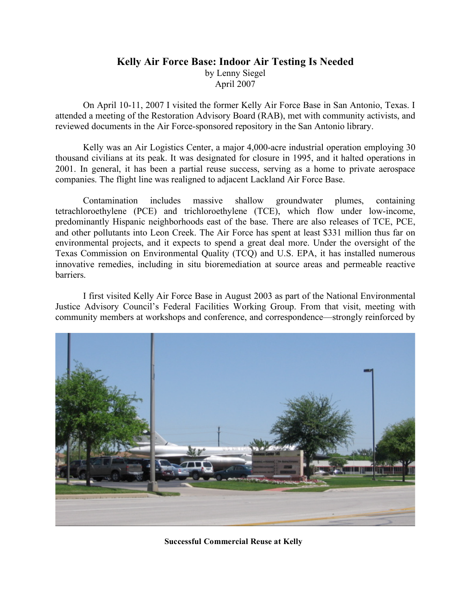## **Kelly Air Force Base: Indoor Air Testing Is Needed** by Lenny Siegel April 2007

On April 10-11, 2007 I visited the former Kelly Air Force Base in San Antonio, Texas. I attended a meeting of the Restoration Advisory Board (RAB), met with community activists, and reviewed documents in the Air Force-sponsored repository in the San Antonio library.

Kelly was an Air Logistics Center, a major 4,000-acre industrial operation employing 30 thousand civilians at its peak. It was designated for closure in 1995, and it halted operations in 2001. In general, it has been a partial reuse success, serving as a home to private aerospace companies. The flight line was realigned to adjacent Lackland Air Force Base.

Contamination includes massive shallow groundwater plumes, containing tetrachloroethylene (PCE) and trichloroethylene (TCE), which flow under low-income, predominantly Hispanic neighborhoods east of the base. There are also releases of TCE, PCE, and other pollutants into Leon Creek. The Air Force has spent at least \$331 million thus far on environmental projects, and it expects to spend a great deal more. Under the oversight of the Texas Commission on Environmental Quality (TCQ) and U.S. EPA, it has installed numerous innovative remedies, including in situ bioremediation at source areas and permeable reactive barriers.

I first visited Kelly Air Force Base in August 2003 as part of the National Environmental Justice Advisory Council's Federal Facilities Working Group. From that visit, meeting with community members at workshops and conference, and correspondence—strongly reinforced by



**Successful Commercial Reuse at Kelly**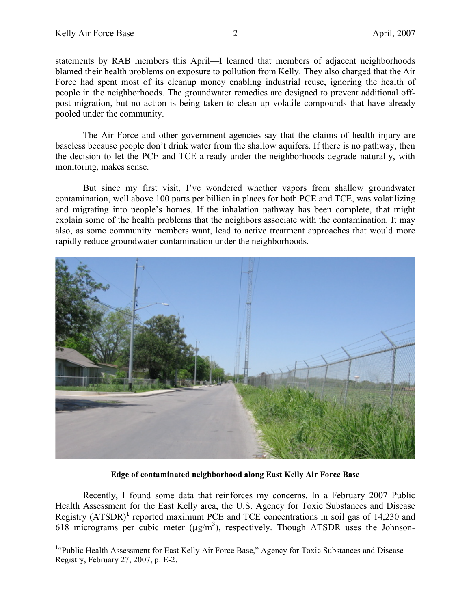statements by RAB members this April—I learned that members of adjacent neighborhoods blamed their health problems on exposure to pollution from Kelly. They also charged that the Air Force had spent most of its cleanup money enabling industrial reuse, ignoring the health of people in the neighborhoods. The groundwater remedies are designed to prevent additional offpost migration, but no action is being taken to clean up volatile compounds that have already pooled under the community.

The Air Force and other government agencies say that the claims of health injury are baseless because people don't drink water from the shallow aquifers. If there is no pathway, then the decision to let the PCE and TCE already under the neighborhoods degrade naturally, with monitoring, makes sense.

But since my first visit, I've wondered whether vapors from shallow groundwater contamination, well above 100 parts per billion in places for both PCE and TCE, was volatilizing and migrating into people's homes. If the inhalation pathway has been complete, that might explain some of the health problems that the neighbors associate with the contamination. It may also, as some community members want, lead to active treatment approaches that would more rapidly reduce groundwater contamination under the neighborhoods.



**Edge of contaminated neighborhood along East Kelly Air Force Base**

Recently, I found some data that reinforces my concerns. In a February 2007 Public Health Assessment for the East Kelly area, the U.S. Agency for Toxic Substances and Disease Registry  $(ATSDR)^1$  reported maximum PCE and TCE concentrations in soil gas of 14,230 and 618 micrograms per cubic meter  $(\mu g/m^3)$ , respectively. Though ATSDR uses the Johnson-

 $\frac{1}{1}$ <sup>1</sup>"Public Health Assessment for East Kelly Air Force Base," Agency for Toxic Substances and Disease Registry, February 27, 2007, p. E-2.